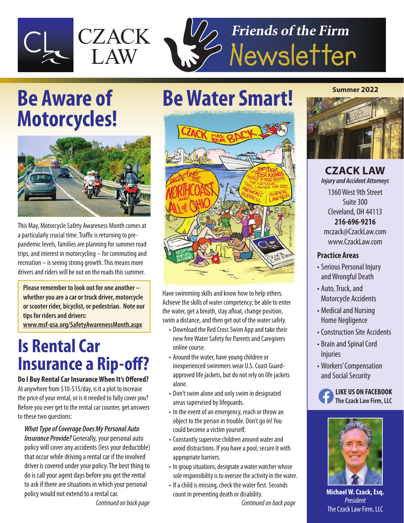

# **Motorcycles!**



This May, Motorcycle Safety Awareness Month comes at a particularly crucial time. Traffic is returning to prepandemic levels, families are planning for summer road trips, and interest in motorcycling – for commuting and recreation – is seeing strong growth. This means more drivers and riders will be out on the roads this summer.

**Please remember to look out for one another – whether you are a car or truck driver, motorcycle or scooter rider, bicyclist, or pedestrian. Note our tips for riders and drivers:**

**www.msf-usa.org/SafetyAwarenessMonth.aspx**

### **Is Rental Car Insurance a Rip-off?**

**Do I Buy Rental Car Insurance When It's Offered?** At anywhere from \$10-\$15/day, is it a plot to increase the price of your rental, or is it needed to fully cover you? Before you ever get to the rental car counter, get answers to these two questions:

*What Type of Coverage Does My Personal Auto Insurance Provide?* Generally, your personal auto policy will cover any accidents (less your deductible) that occur while driving a rental car if the involved driver is covered under your policy. The best thing to do is call your agent days before you get the rental to ask if there are situations in which your personal policy would not extend to a rental car.

 *Continued on back page*

### **Be Aware of Be Water Smart!**



Have swimming skills and know how to help others. Achieve the skills of water competency; be able to enter the water, get a breath, stay afloat, change position, swim a distance, and then get out of the water safely.

- Download the Red Cross Swim App and take their new free Water Safety for Parents and Caregivers online course.
- Around the water, have young children or inexperienced swimmers wear U.S. Coast Guard approved life jackets, but do not rely on life jackets alone.
- Don't swim alone and only swim in designated areas supervised by lifeguards.
- In the event of an emergency, reach or throw an object to the person in trouble. Don't go in! You could become a victim yourself.
- Constantly supervise children around water and avoid distractions. If you have a pool, secure it with appropriate barriers.
- In group situations, designate a water watcher whose sole responsibility is to oversee the activity in the water.
- If a child is missing, check the water first. Seconds count in preventing death or disability.

 *Continued on back page*

#### **Summer 2022**



**CZACK LAW** *Injury and Accident Attorneys* 1360 West 9th Street Suite 300 Cleveland, OH 44113

**216-696-9216** mczack@CzackLaw.com www.CzackLaw.com

#### **Practice Areas**

- Serious Personal Injury and Wrongful Death
- Auto, Truck, and Motorcycle Accidents
- Medical and Nursing Home Negligence
- Construction Site Accidents
- Brain and Spinal Cord **Injuries**
- Workers' Compensation and Social Security





**Michael W. Czack, Esq.**  *President* The Czack Law Firm, LLC